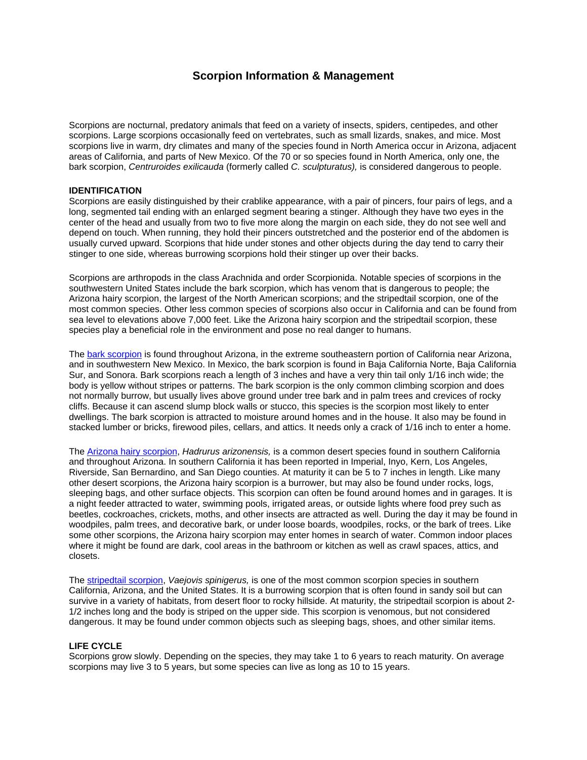# **Scorpion Information & Management**

Scorpions are nocturnal, predatory animals that feed on a variety of insects, spiders, centipedes, and other scorpions. Large scorpions occasionally feed on vertebrates, such as small lizards, snakes, and mice. Most scorpions live in warm, dry climates and many of the species found in North America occur in Arizona, adjacent areas of California, and parts of New Mexico. Of the 70 or so species found in North America, only one, the bark scorpion, *Centruroides exilicauda* (formerly called *C. sculpturatus),* is considered dangerous to people.

## **IDENTIFICATION**

Scorpions are easily distinguished by their crablike appearance, with a pair of pincers, four pairs of legs, and a long, segmented tail ending with an enlarged segment bearing a stinger. Although they have two eyes in the center of the head and usually from two to five more along the margin on each side, they do not see well and depend on touch. When running, they hold their pincers outstretched and the posterior end of the abdomen is usually curved upward. Scorpions that hide under stones and other objects during the day tend to carry their stinger to one side, whereas burrowing scorpions hold their stinger up over their backs.

Scorpions are arthropods in the class Arachnida and order Scorpionida. Notable species of scorpions in the southwestern United States include the bark scorpion, which has venom that is dangerous to people; the Arizona hairy scorpion, the largest of the North American scorpions; and the stripedtail scorpion, one of the most common species. Other less common species of scorpions also occur in California and can be found from sea level to elevations above 7,000 feet. Like the Arizona hairy scorpion and the stripedtail scorpion, these species play a beneficial role in the environment and pose no real danger to humans.

The [bark scorpion](http://www.ipm.ucdavis.edu/PMG/PESTNOTES/pni74110-1a.html) is found throughout Arizona, in the extreme southeastern portion of California near Arizona, and in southwestern New Mexico. In Mexico, the bark scorpion is found in Baja California Norte, Baja California Sur, and Sonora. Bark scorpions reach a length of 3 inches and have a very thin tail only 1/16 inch wide; the body is yellow without stripes or patterns. The bark scorpion is the only common climbing scorpion and does not normally burrow, but usually lives above ground under tree bark and in palm trees and crevices of rocky cliffs. Because it can ascend slump block walls or stucco, this species is the scorpion most likely to enter dwellings. The bark scorpion is attracted to moisture around homes and in the house. It also may be found in stacked lumber or bricks, firewood piles, cellars, and attics. It needs only a crack of 1/16 inch to enter a home.

The [Arizona hairy scorpion,](http://www.ipm.ucdavis.edu/PMG/PESTNOTES/pni74110-1b.html) *Hadrurus arizonensis,* is a common desert species found in southern California and throughout Arizona. In southern California it has been reported in Imperial, Inyo, Kern, Los Angeles, Riverside, San Bernardino, and San Diego counties. At maturity it can be 5 to 7 inches in length. Like many other desert scorpions, the Arizona hairy scorpion is a burrower, but may also be found under rocks, logs, sleeping bags, and other surface objects. This scorpion can often be found around homes and in garages. It is a night feeder attracted to water, swimming pools, irrigated areas, or outside lights where food prey such as beetles, cockroaches, crickets, moths, and other insects are attracted as well. During the day it may be found in woodpiles, palm trees, and decorative bark, or under loose boards, woodpiles, rocks, or the bark of trees. Like some other scorpions, the Arizona hairy scorpion may enter homes in search of water. Common indoor places where it might be found are dark, cool areas in the bathroom or kitchen as well as crawl spaces, attics, and closets.

The [stripedtail scorpion](http://www.ipm.ucdavis.edu/PMG/PESTNOTES/pni74110-1c.html), *Vaejovis spinigerus,* is one of the most common scorpion species in southern California, Arizona, and the United States. It is a burrowing scorpion that is often found in sandy soil but can survive in a variety of habitats, from desert floor to rocky hillside. At maturity, the stripedtail scorpion is about 2- 1/2 inches long and the body is striped on the upper side. This scorpion is venomous, but not considered dangerous. It may be found under common objects such as sleeping bags, shoes, and other similar items.

## **LIFE CYCLE**

Scorpions grow slowly. Depending on the species, they may take 1 to 6 years to reach maturity. On average scorpions may live 3 to 5 years, but some species can live as long as 10 to 15 years.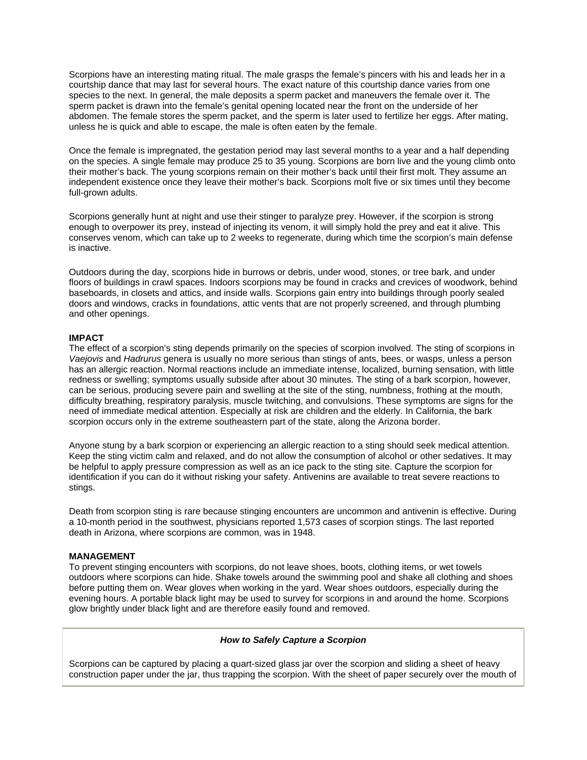Scorpions have an interesting mating ritual. The male grasps the female's pincers with his and leads her in a courtship dance that may last for several hours. The exact nature of this courtship dance varies from one species to the next. In general, the male deposits a sperm packet and maneuvers the female over it. The sperm packet is drawn into the female's genital opening located near the front on the underside of her abdomen. The female stores the sperm packet, and the sperm is later used to fertilize her eggs. After mating, unless he is quick and able to escape, the male is often eaten by the female.

Once the female is impregnated, the gestation period may last several months to a year and a half depending on the species. A single female may produce 25 to 35 young. Scorpions are born live and the young climb onto their mother's back. The young scorpions remain on their mother's back until their first molt. They assume an independent existence once they leave their mother's back. Scorpions molt five or six times until they become full-grown adults.

Scorpions generally hunt at night and use their stinger to paralyze prey. However, if the scorpion is strong enough to overpower its prey, instead of injecting its venom, it will simply hold the prey and eat it alive. This conserves venom, which can take up to 2 weeks to regenerate, during which time the scorpion's main defense is inactive.

Outdoors during the day, scorpions hide in burrows or debris, under wood, stones, or tree bark, and under floors of buildings in crawl spaces. Indoors scorpions may be found in cracks and crevices of woodwork, behind baseboards, in closets and attics, and inside walls. Scorpions gain entry into buildings through poorly sealed doors and windows, cracks in foundations, attic vents that are not properly screened, and through plumbing and other openings.

## **IMPACT**

The effect of a scorpion's sting depends primarily on the species of scorpion involved. The sting of scorpions in *Vaejovis* and *Hadrurus* genera is usually no more serious than stings of ants, bees, or wasps, unless a person has an allergic reaction. Normal reactions include an immediate intense, localized, burning sensation, with little redness or swelling; symptoms usually subside after about 30 minutes. The sting of a bark scorpion, however, can be serious, producing severe pain and swelling at the site of the sting, numbness, frothing at the mouth, difficulty breathing, respiratory paralysis, muscle twitching, and convulsions. These symptoms are signs for the need of immediate medical attention. Especially at risk are children and the elderly. In California, the bark scorpion occurs only in the extreme southeastern part of the state, along the Arizona border.

Anyone stung by a bark scorpion or experiencing an allergic reaction to a sting should seek medical attention. Keep the sting victim calm and relaxed, and do not allow the consumption of alcohol or other sedatives. It may be helpful to apply pressure compression as well as an ice pack to the sting site. Capture the scorpion for identification if you can do it without risking your safety. Antivenins are available to treat severe reactions to stings.

Death from scorpion sting is rare because stinging encounters are uncommon and antivenin is effective. During a 10-month period in the southwest, physicians reported 1,573 cases of scorpion stings. The last reported death in Arizona, where scorpions are common, was in 1948.

#### **MANAGEMENT**

To prevent stinging encounters with scorpions, do not leave shoes, boots, clothing items, or wet towels outdoors where scorpions can hide. Shake towels around the swimming pool and shake all clothing and shoes before putting them on. Wear gloves when working in the yard. Wear shoes outdoors, especially during the evening hours. A portable black light may be used to survey for scorpions in and around the home. Scorpions glow brightly under black light and are therefore easily found and removed.

#### *How to Safely Capture a Scorpion*

Scorpions can be captured by placing a quart-sized glass jar over the scorpion and sliding a sheet of heavy construction paper under the jar, thus trapping the scorpion. With the sheet of paper securely over the mouth of